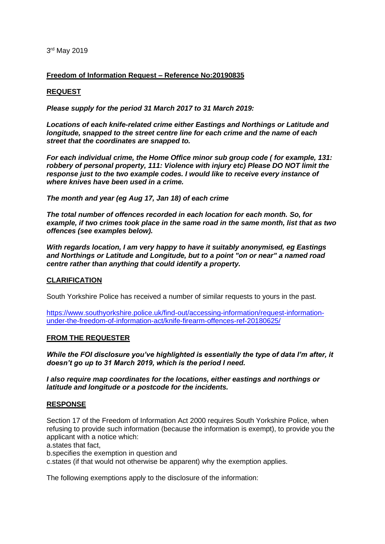3 rd May 2019

### **Freedom of Information Request – Reference No:20190835**

### **REQUEST**

*Please supply for the period 31 March 2017 to 31 March 2019:* 

*Locations of each knife-related crime either Eastings and Northings or Latitude and longitude, snapped to the street centre line for each crime and the name of each street that the coordinates are snapped to.*

*For each individual crime, the Home Office minor sub group code ( for example, 131: robbery of personal property, 111: Violence with injury etc) Please DO NOT limit the response just to the two example codes. I would like to receive every instance of where knives have been used in a crime.*

*The month and year (eg Aug 17, Jan 18) of each crime*

*The total number of offences recorded in each location for each month. So, for example, if two crimes took place in the same road in the same month, list that as two offences (see examples below).*

*With regards location, I am very happy to have it suitably anonymised, eg Eastings and Northings or Latitude and Longitude, but to a point "on or near" a named road centre rather than anything that could identify a property.*

### **CLARIFICATION**

South Yorkshire Police has received a number of similar requests to yours in the past.

[https://www.southyorkshire.police.uk/find-out/accessing-information/request-information](https://www.southyorkshire.police.uk/find-out/accessing-information/request-information-under-the-freedom-of-information-act/knife-firearm-offences-ref-20180625/)[under-the-freedom-of-information-act/knife-firearm-offences-ref-20180625/](https://www.southyorkshire.police.uk/find-out/accessing-information/request-information-under-the-freedom-of-information-act/knife-firearm-offences-ref-20180625/)

### **FROM THE REQUESTER**

*While the FOI disclosure you've highlighted is essentially the type of data I'm after, it doesn't go up to 31 March 2019, which is the period I need.*

*I also require map coordinates for the locations, either eastings and northings or latitude and longitude or a postcode for the incidents.*

### **RESPONSE**

Section 17 of the Freedom of Information Act 2000 requires South Yorkshire Police, when refusing to provide such information (because the information is exempt), to provide you the applicant with a notice which:

a.states that fact,

b.specifies the exemption in question and

c.states (if that would not otherwise be apparent) why the exemption applies.

The following exemptions apply to the disclosure of the information: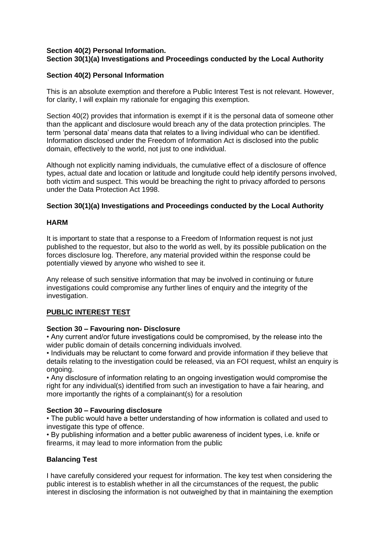## **Section 40(2) Personal Information. Section 30(1)(a) Investigations and Proceedings conducted by the Local Authority**

## **Section 40(2) Personal Information**

This is an absolute exemption and therefore a Public Interest Test is not relevant. However, for clarity, I will explain my rationale for engaging this exemption.

Section 40(2) provides that information is exempt if it is the personal data of someone other than the applicant and disclosure would breach any of the data protection principles. The term 'personal data' means data that relates to a living individual who can be identified. Information disclosed under the Freedom of Information Act is disclosed into the public domain, effectively to the world, not just to one individual.

Although not explicitly naming individuals, the cumulative effect of a disclosure of offence types, actual date and location or latitude and longitude could help identify persons involved, both victim and suspect. This would be breaching the right to privacy afforded to persons under the Data Protection Act 1998.

### **Section 30(1)(a) Investigations and Proceedings conducted by the Local Authority**

### **HARM**

It is important to state that a response to a Freedom of Information request is not just published to the requestor, but also to the world as well, by its possible publication on the forces disclosure log. Therefore, any material provided within the response could be potentially viewed by anyone who wished to see it.

Any release of such sensitive information that may be involved in continuing or future investigations could compromise any further lines of enquiry and the integrity of the investigation.

# **PUBLIC INTEREST TEST**

### **Section 30 – Favouring non- Disclosure**

• Any current and/or future investigations could be compromised, by the release into the wider public domain of details concerning individuals involved.

• Individuals may be reluctant to come forward and provide information if they believe that details relating to the investigation could be released, via an FOI request, whilst an enquiry is ongoing.

• Any disclosure of information relating to an ongoing investigation would compromise the right for any individual(s) identified from such an investigation to have a fair hearing, and more importantly the rights of a complainant(s) for a resolution

### **Section 30 – Favouring disclosure**

• The public would have a better understanding of how information is collated and used to investigate this type of offence.

• By publishing information and a better public awareness of incident types, i.e. knife or firearms, it may lead to more information from the public

# **Balancing Test**

I have carefully considered your request for information. The key test when considering the public interest is to establish whether in all the circumstances of the request, the public interest in disclosing the information is not outweighed by that in maintaining the exemption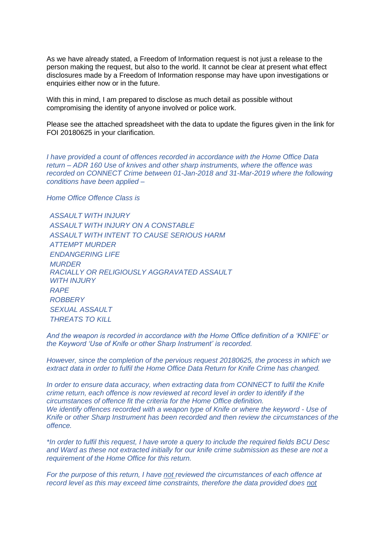As we have already stated, a Freedom of Information request is not just a release to the person making the request, but also to the world. It cannot be clear at present what effect disclosures made by a Freedom of Information response may have upon investigations or enquiries either now or in the future.

With this in mind, I am prepared to disclose as much detail as possible without compromising the identity of anyone involved or police work.

Please see the attached spreadsheet with the data to update the figures given in the link for FOI 20180625 in your clarification.

*I have provided a count of offences recorded in accordance with the Home Office Data return – ADR 160 Use of knives and other sharp instruments, where the offence was recorded on CONNECT Crime between 01-Jan-2018 and 31-Mar-2019 where the following conditions have been applied –*

*Home Office Offence Class is* 

*ASSAULT WITH INJURY ASSAULT WITH INJURY ON A CONSTABLE ASSAULT WITH INTENT TO CAUSE SERIOUS HARM ATTEMPT MURDER ENDANGERING LIFE MURDER RACIALLY OR RELIGIOUSLY AGGRAVATED ASSAULT*  **WITH INJURY** *RAPE ROBBERY SEXUAL ASSAULT THREATS TO KILL*

*And the weapon is recorded in accordance with the Home Office definition of a 'KNIFE' or the Keyword 'Use of Knife or other Sharp Instrument' is recorded.*

*However, since the completion of the pervious request 20180625, the process in which we extract data in order to fulfil the Home Office Data Return for Knife Crime has changed.*

*In order to ensure data accuracy, when extracting data from CONNECT to fulfil the Knife crime return, each offence is now reviewed at record level in order to identify if the circumstances of offence fit the criteria for the Home Office definition. We identify offences recorded with a weapon type of Knife or where the keyword - Use of Knife or other Sharp Instrument has been recorded and then review the circumstances of the offence.* 

*\*In order to fulfil this request, I have wrote a query to include the required fields BCU Desc and Ward as these not extracted initially for our knife crime submission as these are not a requirement of the Home Office for this return.* 

*For the purpose of this return, I have not reviewed the circumstances of each offence at record level as this may exceed time constraints, therefore the data provided does not*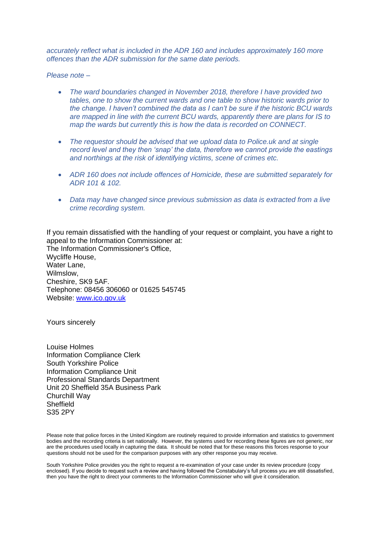*accurately reflect what is included in the ADR 160 and includes approximately 160 more offences than the ADR submission for the same date periods.* 

*Please note –*

- *The ward boundaries changed in November 2018, therefore I have provided two tables, one to show the current wards and one table to show historic wards prior to the change. I haven't combined the data as I can't be sure if the historic BCU wards are mapped in line with the current BCU wards, apparently there are plans for IS to map the wards but currently this is how the data is recorded on CONNECT.*
- *The requestor should be advised that we upload data to Police.uk and at single record level and they then 'snap' the data, therefore we cannot provide the eastings and northings at the risk of identifying victims, scene of crimes etc.*
- *ADR 160 does not include offences of Homicide, these are submitted separately for ADR 101 & 102.*
- *Data may have changed since previous submission as data is extracted from a live crime recording system.*

If you remain dissatisfied with the handling of your request or complaint, you have a right to appeal to the Information Commissioner at: The Information Commissioner's Office, Wycliffe House, Water Lane, Wilmslow, Cheshire, SK9 5AF. Telephone: 08456 306060 or 01625 545745 Website: [www.ico.gov.uk](http://www.ico.gov.uk/)

Yours sincerely

Louise Holmes Information Compliance Clerk South Yorkshire Police Information Compliance Unit Professional Standards Department Unit 20 Sheffield 35A Business Park Churchill Way **Sheffield** S35 2PY

South Yorkshire Police provides you the right to request a re-examination of your case under its review procedure (copy enclosed). If you decide to request such a review and having followed the Constabulary's full process you are still dissatisfied, then you have the right to direct your comments to the Information Commissioner who will give it consideration.

Please note that police forces in the United Kingdom are routinely required to provide information and statistics to government bodies and the recording criteria is set nationally. However, the systems used for recording these figures are not generic, nor are the procedures used locally in capturing the data. It should be noted that for these reasons this forces response to your questions should not be used for the comparison purposes with any other response you may receive.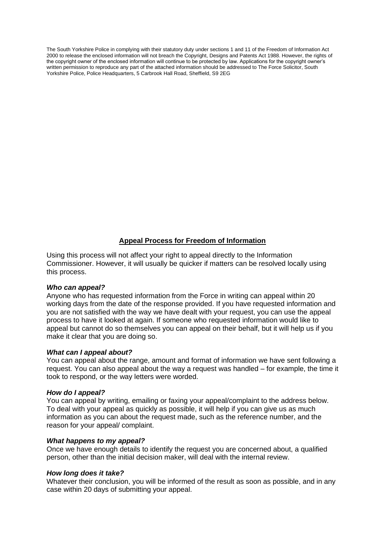The South Yorkshire Police in complying with their statutory duty under sections 1 and 11 of the Freedom of Information Act 2000 to release the enclosed information will not breach the Copyright, Designs and Patents Act 1988. However, the rights of the copyright owner of the enclosed information will continue to be protected by law. Applications for the copyright owner's written permission to reproduce any part of the attached information should be addressed to The Force Solicitor, South Yorkshire Police, Police Headquarters, 5 Carbrook Hall Road, Sheffield, S9 2EG

# **Appeal Process for Freedom of Information**

Using this process will not affect your right to appeal directly to the Information Commissioner. However, it will usually be quicker if matters can be resolved locally using this process.

### *Who can appeal?*

Anyone who has requested information from the Force in writing can appeal within 20 working days from the date of the response provided. If you have requested information and you are not satisfied with the way we have dealt with your request, you can use the appeal process to have it looked at again. If someone who requested information would like to appeal but cannot do so themselves you can appeal on their behalf, but it will help us if you make it clear that you are doing so.

### *What can I appeal about?*

You can appeal about the range, amount and format of information we have sent following a request. You can also appeal about the way a request was handled – for example, the time it took to respond, or the way letters were worded.

### *How do I appeal?*

You can appeal by writing, emailing or faxing your appeal/complaint to the address below. To deal with your appeal as quickly as possible, it will help if you can give us as much information as you can about the request made, such as the reference number, and the reason for your appeal/ complaint.

### *What happens to my appeal?*

Once we have enough details to identify the request you are concerned about, a qualified person, other than the initial decision maker, will deal with the internal review.

### *How long does it take?*

Whatever their conclusion, you will be informed of the result as soon as possible, and in any case within 20 days of submitting your appeal.